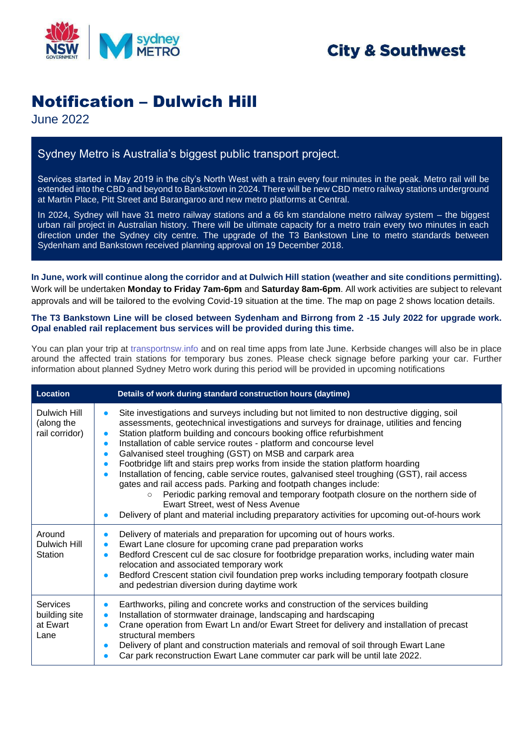

## **City & Southwest**

# Notification – Dulwich Hill

June 2022

### Sydney Metro is Australia's biggest public transport project.

Services started in May 2019 in the city's North West with a train every four minutes in the peak. Metro rail will be extended into the CBD and beyond to Bankstown in 2024. There will be new CBD metro railway stations underground at Martin Place, Pitt Street and Barangaroo and new metro platforms at Central.

In 2024, Sydney will have 31 metro railway stations and a 66 km standalone metro railway system – the biggest urban rail project in Australian history. There will be ultimate capacity for a metro train every two minutes in each direction under the Sydney city centre. The upgrade of the T3 Bankstown Line to metro standards between Sydenham and Bankstown received planning approval on 19 December 2018.

**In June, work will continue along the corridor and at Dulwich Hill station (weather and site conditions permitting).** Work will be undertaken **Monday to Friday 7am-6pm** and **Saturday 8am-6pm**. All work activities are subject to relevant approvals and will be tailored to the evolving Covid-19 situation at the time. The map on page 2 shows location details.

#### **The T3 Bankstown Line will be closed between Sydenham and Birrong from 2 -15 July 2022 for upgrade work. Opal enabled rail replacement bus services will be provided during this time.**

You can plan your trip at [transportnsw.info](https://transportnsw.info/) and on real time apps from late June. Kerbside changes will also be in place around the affected train stations for temporary bus zones. Please check signage before parking your car. Further information about planned Sydney Metro work during this period will be provided in upcoming notifications

| Location                                      | Details of work during standard construction hours (daytime)                                                                                                                                                                                                                                                                                                                                                                                                                                                                                                                                                                                                                                                                                                                                                                                                                                                                                                                |
|-----------------------------------------------|-----------------------------------------------------------------------------------------------------------------------------------------------------------------------------------------------------------------------------------------------------------------------------------------------------------------------------------------------------------------------------------------------------------------------------------------------------------------------------------------------------------------------------------------------------------------------------------------------------------------------------------------------------------------------------------------------------------------------------------------------------------------------------------------------------------------------------------------------------------------------------------------------------------------------------------------------------------------------------|
| Dulwich Hill<br>(along the<br>rail corridor)  | Site investigations and surveys including but not limited to non destructive digging, soil<br>$\bullet$<br>assessments, geotechnical investigations and surveys for drainage, utilities and fencing<br>Station platform building and concours booking office refurbishment<br>$\bullet$<br>Installation of cable service routes - platform and concourse level<br>$\bullet$<br>Galvanised steel troughing (GST) on MSB and carpark area<br>$\bullet$<br>Footbridge lift and stairs prep works from inside the station platform hoarding<br>$\bullet$<br>Installation of fencing, cable service routes, galvanised steel troughing (GST), rail access<br>$\bullet$<br>gates and rail access pads. Parking and footpath changes include:<br>Periodic parking removal and temporary footpath closure on the northern side of<br>$\circ$<br>Ewart Street, west of Ness Avenue<br>Delivery of plant and material including preparatory activities for upcoming out-of-hours work |
| Around<br>Dulwich Hill<br>Station             | Delivery of materials and preparation for upcoming out of hours works.<br>Ewart Lane closure for upcoming crane pad preparation works<br>$\bullet$<br>Bedford Crescent cul de sac closure for footbridge preparation works, including water main<br>$\bullet$<br>relocation and associated temporary work<br>Bedford Crescent station civil foundation prep works including temporary footpath closure<br>$\bullet$<br>and pedestrian diversion during daytime work                                                                                                                                                                                                                                                                                                                                                                                                                                                                                                         |
| Services<br>building site<br>at Ewart<br>Lane | Earthworks, piling and concrete works and construction of the services building<br>$\bullet$<br>Installation of stormwater drainage, landscaping and hardscaping<br>$\bullet$<br>Crane operation from Ewart Ln and/or Ewart Street for delivery and installation of precast<br>$\bullet$<br>structural members<br>Delivery of plant and construction materials and removal of soil through Ewart Lane<br>$\bullet$<br>Car park reconstruction Ewart Lane commuter car park will be until late 2022.                                                                                                                                                                                                                                                                                                                                                                                                                                                                         |